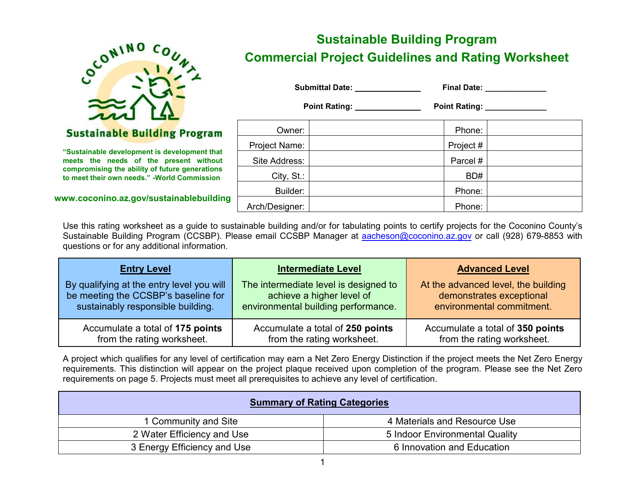

# **Sustainable Building Program**

**"Sustainable development is development that meets the needs of the present without compromising the ability of future generations to meet their own needs." -World Commission**

**www.coconino.az.gov/sustainablebuilding**

# **Sustainable Building Program Commercial Project Guidelines and Rating Worksheet**

**Submittal Date:** Final Date: Final Date:

Point Rating: \_\_\_\_\_\_\_\_\_\_\_\_\_\_\_\_\_\_\_ Point Rating: \_\_\_\_\_\_\_\_\_\_\_\_\_\_\_\_\_\_\_\_\_\_\_\_\_\_\_\_\_\_\_\_\_

| Owner:         | Phone:    |  |
|----------------|-----------|--|
| Project Name:  | Project # |  |
| Site Address:  | Parcel #  |  |
| City, St.:     | BD#       |  |
| Builder:       | Phone:    |  |
| Arch/Designer: | Phone:    |  |

Use this rating worksheet as a guide to sustainable building and/or for tabulating points to certify projects for the Coconino County's Sustainable Building Program (CCSBP). Please email CCSBP Manager at [aacheson@coconino.az.gov](mailto:aacheson@coconino.az.gov) or call (928) 679-8853 with questions or for any additional information.

| <b>Entry Level</b>                        | <b>Intermediate Level</b>             | <b>Advanced Level</b>               |
|-------------------------------------------|---------------------------------------|-------------------------------------|
| By qualifying at the entry level you will | The intermediate level is designed to | At the advanced level, the building |
| be meeting the CCSBP's baseline for       | achieve a higher level of             | demonstrates exceptional            |
| sustainably responsible building.         | environmental building performance.   | environmental commitment.           |
| Accumulate a total of 175 points          | Accumulate a total of 250 points      | Accumulate a total of 350 points    |
| from the rating worksheet.                | from the rating worksheet.            | from the rating worksheet.          |

A project which qualifies for any level of certification may earn a Net Zero Energy Distinction if the project meets the Net Zero Energy requirements. This distinction will appear on the project plaque received upon completion of the program. Please see the Net Zero requirements on page 5. Projects must meet all prerequisites to achieve any level of certification.

| <b>Summary of Rating Categories</b> |                                |  |  |  |  |  |
|-------------------------------------|--------------------------------|--|--|--|--|--|
| 1 Community and Site                | 4 Materials and Resource Use   |  |  |  |  |  |
| 2 Water Efficiency and Use          | 5 Indoor Environmental Quality |  |  |  |  |  |
| 3 Energy Efficiency and Use         | 6 Innovation and Education     |  |  |  |  |  |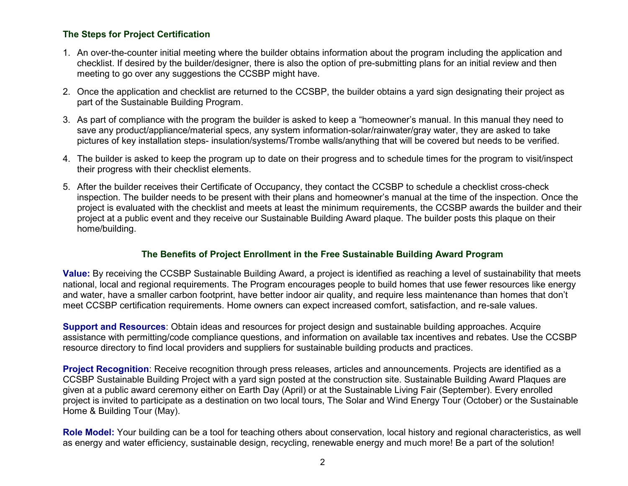### **The Steps for Project Certification**

- 1. An over-the-counter initial meeting where the builder obtains information about the program including the application and checklist. If desired by the builder/designer, there is also the option of pre-submitting plans for an initial review and then meeting to go over any suggestions the CCSBP might have.
- 2. Once the application and checklist are returned to the CCSBP, the builder obtains a yard sign designating their project as part of the Sustainable Building Program.
- 3. As part of compliance with the program the builder is asked to keep a "homeowner's manual. In this manual they need to save any product/appliance/material specs, any system information-solar/rainwater/gray water, they are asked to take pictures of key installation steps- insulation/systems/Trombe walls/anything that will be covered but needs to be verified.
- 4. The builder is asked to keep the program up to date on their progress and to schedule times for the program to visit/inspect their progress with their checklist elements.
- 5. After the builder receives their Certificate of Occupancy, they contact the CCSBP to schedule a checklist cross-check inspection. The builder needs to be present with their plans and homeowner's manual at the time of the inspection. Once the project is evaluated with the checklist and meets at least the minimum requirements, the CCSBP awards the builder and their project at a public event and they receive our Sustainable Building Award plaque. The builder posts this plaque on their home/building.

## **The Benefits of Project Enrollment in the Free Sustainable Building Award Program**

**Value:** By receiving the CCSBP Sustainable Building Award, a project is identified as reaching a level of sustainability that meets national, local and regional requirements. The Program encourages people to build homes that use fewer resources like energy and water, have a smaller carbon footprint, have better indoor air quality, and require less maintenance than homes that don't meet CCSBP certification requirements. Home owners can expect increased comfort, satisfaction, and re-sale values.

**Support and Resources**: Obtain ideas and resources for project design and sustainable building approaches. Acquire assistance with permitting/code compliance questions, and information on available tax incentives and rebates. Use the CCSBP resource directory to find local providers and suppliers for sustainable building products and practices.

**Project Recognition**: Receive recognition through press releases, articles and announcements. Projects are identified as a CCSBP Sustainable Building Project with a yard sign posted at the construction site. Sustainable Building Award Plaques are given at a public award ceremony either on Earth Day (April) or at the Sustainable Living Fair (September). Every enrolled project is invited to participate as a destination on two local tours, The Solar and Wind Energy Tour (October) or the Sustainable Home & Building Tour (May).

**Role Model:** Your building can be a tool for teaching others about conservation, local history and regional characteristics, as well as energy and water efficiency, sustainable design, recycling, renewable energy and much more! Be a part of the solution!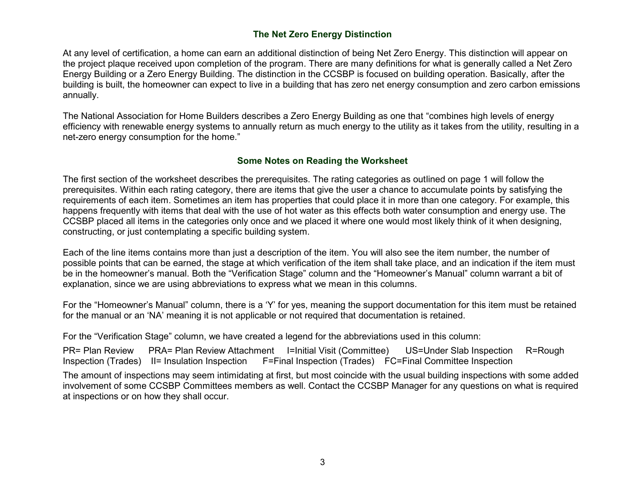## **The Net Zero Energy Distinction**

At any level of certification, a home can earn an additional distinction of being Net Zero Energy. This distinction will appear on the project plaque received upon completion of the program. There are many definitions for what is generally called a Net Zero Energy Building or a Zero Energy Building. The distinction in the CCSBP is focused on building operation. Basically, after the building is built, the homeowner can expect to live in a building that has zero net energy consumption and zero carbon emissions annually.

The National Association for Home Builders describes a Zero Energy Building as one that "combines high levels of energy efficiency with renewable energy systems to annually return as much energy to the utility as it takes from the utility, resulting in a net-zero energy consumption for the home."

#### **Some Notes on Reading the Worksheet**

The first section of the worksheet describes the prerequisites. The rating categories as outlined on page 1 will follow the prerequisites. Within each rating category, there are items that give the user a chance to accumulate points by satisfying the requirements of each item. Sometimes an item has properties that could place it in more than one category. For example, this happens frequently with items that deal with the use of hot water as this effects both water consumption and energy use. The CCSBP placed all items in the categories only once and we placed it where one would most likely think of it when designing, constructing, or just contemplating a specific building system.

Each of the line items contains more than just a description of the item. You will also see the item number, the number of possible points that can be earned, the stage at which verification of the item shall take place, and an indication if the item must be in the homeowner's manual. Both the "Verification Stage" column and the "Homeowner's Manual" column warrant a bit of explanation, since we are using abbreviations to express what we mean in this columns.

For the "Homeowner's Manual" column, there is a 'Y' for yes, meaning the support documentation for this item must be retained for the manual or an 'NA' meaning it is not applicable or not required that documentation is retained.

For the "Verification Stage" column, we have created a legend for the abbreviations used in this column:

PR= Plan Review PRA= Plan Review Attachment I=Initial Visit (Committee) US=Under Slab Inspection R=Rough Inspection (Trades) II= Insulation Inspection F=Final Inspection (Trades) FC=Final Committee Inspection

The amount of inspections may seem intimidating at first, but most coincide with the usual building inspections with some added involvement of some CCSBP Committees members as well. Contact the CCSBP Manager for any questions on what is required at inspections or on how they shall occur.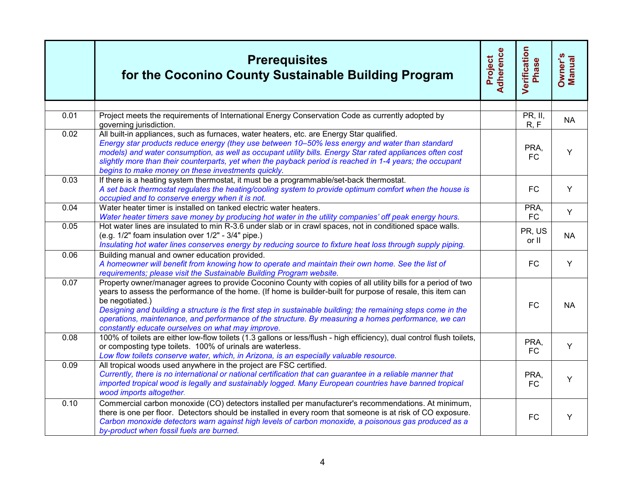|      | <b>Prerequisites</b><br>for the Coconino County Sustainable Building Program                                                                                                                                                                                                                                                                                                                                                                                                                                                 | Adherence<br>Project | <b>Verification</b><br>Phase | Owner's<br>Manual |
|------|------------------------------------------------------------------------------------------------------------------------------------------------------------------------------------------------------------------------------------------------------------------------------------------------------------------------------------------------------------------------------------------------------------------------------------------------------------------------------------------------------------------------------|----------------------|------------------------------|-------------------|
|      |                                                                                                                                                                                                                                                                                                                                                                                                                                                                                                                              |                      |                              |                   |
| 0.01 | Project meets the requirements of International Energy Conservation Code as currently adopted by<br>governing jurisdiction.                                                                                                                                                                                                                                                                                                                                                                                                  |                      | PR, II,<br>R, F              | <b>NA</b>         |
| 0.02 | All built-in appliances, such as furnaces, water heaters, etc. are Energy Star qualified.<br>Energy star products reduce energy (they use between 10-50% less energy and water than standard<br>models) and water consumption, as well as occupant utility bills. Energy Star rated appliances often cost<br>slightly more than their counterparts, yet when the payback period is reached in 1-4 years; the occupant<br>begins to make money on these investments quickly.                                                  |                      | PRA,<br><b>FC</b>            | Y                 |
| 0.03 | If there is a heating system thermostat, it must be a programmable/set-back thermostat.<br>A set back thermostat regulates the heating/cooling system to provide optimum comfort when the house is<br>occupied and to conserve energy when it is not.                                                                                                                                                                                                                                                                        |                      | <b>FC</b>                    | Y                 |
| 0.04 | Water heater timer is installed on tanked electric water heaters.<br>Water heater timers save money by producing hot water in the utility companies' off peak energy hours.                                                                                                                                                                                                                                                                                                                                                  |                      | PRA,<br>${\sf FC}$           | Y                 |
| 0.05 | Hot water lines are insulated to min R-3.6 under slab or in crawl spaces, not in conditioned space walls.<br>(e.g. 1/2" foam insulation over 1/2" - 3/4" pipe.)<br>Insulating hot water lines conserves energy by reducing source to fixture heat loss through supply piping.                                                                                                                                                                                                                                                |                      | PR, US<br>or II              | <b>NA</b>         |
| 0.06 | Building manual and owner education provided.<br>A homeowner will benefit from knowing how to operate and maintain their own home. See the list of<br>requirements; please visit the Sustainable Building Program website.                                                                                                                                                                                                                                                                                                   |                      | <b>FC</b>                    | Y                 |
| 0.07 | Property owner/manager agrees to provide Coconino County with copies of all utility bills for a period of two<br>years to assess the performance of the home. (If home is builder-built for purpose of resale, this item can<br>be negotiated.)<br>Designing and building a structure is the first step in sustainable building; the remaining steps come in the<br>operations, maintenance, and performance of the structure. By measuring a homes performance, we can<br>constantly educate ourselves on what may improve. |                      | <b>FC</b>                    | <b>NA</b>         |
| 0.08 | 100% of toilets are either low-flow toilets (1.3 gallons or less/flush - high efficiency), dual control flush toilets,<br>or composting type toilets. 100% of urinals are waterless.<br>Low flow toilets conserve water, which, in Arizona, is an especially valuable resource.                                                                                                                                                                                                                                              |                      | PRA,<br><b>FC</b>            | Y                 |
| 0.09 | All tropical woods used anywhere in the project are FSC certified.<br>Currently, there is no international or national certification that can guarantee in a reliable manner that<br>imported tropical wood is legally and sustainably logged. Many European countries have banned tropical<br>wood imports altogether.                                                                                                                                                                                                      |                      | PRA,<br><b>FC</b>            | Y                 |
| 0.10 | Commercial carbon monoxide (CO) detectors installed per manufacturer's recommendations. At minimum,<br>there is one per floor. Detectors should be installed in every room that someone is at risk of CO exposure.<br>Carbon monoxide detectors warn against high levels of carbon monoxide, a poisonous gas produced as a<br>by-product when fossil fuels are burned.                                                                                                                                                       |                      | <b>FC</b>                    | Y                 |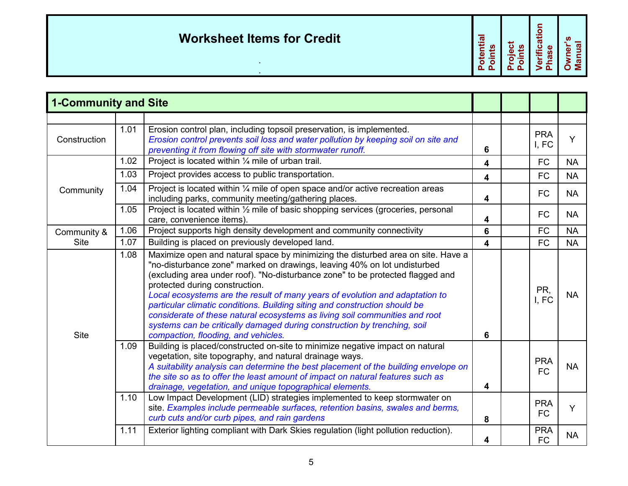| <b>Worksheet Items for Credit</b> | htial<br><b>S</b><br>ō<br>O<br>$\mathbf{L}$ | ഗ<br>ω | $\overline{ }$<br>atior | ທ |
|-----------------------------------|---------------------------------------------|--------|-------------------------|---|
|                                   |                                             |        |                         |   |

| <b>1-Community and Site</b> |      |                                                                                                                                                                                                                                                                                                                                                                                                                                                                                                                                                                                                                                                  |                         |                         |           |
|-----------------------------|------|--------------------------------------------------------------------------------------------------------------------------------------------------------------------------------------------------------------------------------------------------------------------------------------------------------------------------------------------------------------------------------------------------------------------------------------------------------------------------------------------------------------------------------------------------------------------------------------------------------------------------------------------------|-------------------------|-------------------------|-----------|
|                             |      |                                                                                                                                                                                                                                                                                                                                                                                                                                                                                                                                                                                                                                                  |                         |                         |           |
| Construction                | 1.01 | Erosion control plan, including topsoil preservation, is implemented.<br>Erosion control prevents soil loss and water pollution by keeping soil on site and<br>preventing it from flowing off site with stormwater runoff.                                                                                                                                                                                                                                                                                                                                                                                                                       | 6                       | <b>PRA</b><br>I, FC     | Y         |
|                             | 1.02 | Project is located within 1/4 mile of urban trail.                                                                                                                                                                                                                                                                                                                                                                                                                                                                                                                                                                                               | 4                       | <b>FC</b>               | <b>NA</b> |
|                             | 1.03 | Project provides access to public transportation.                                                                                                                                                                                                                                                                                                                                                                                                                                                                                                                                                                                                | 4                       | <b>FC</b>               | <b>NA</b> |
| Community                   | 1.04 | Project is located within 1/4 mile of open space and/or active recreation areas<br>including parks, community meeting/gathering places.                                                                                                                                                                                                                                                                                                                                                                                                                                                                                                          | 4                       | <b>FC</b>               | <b>NA</b> |
|                             | 1.05 | Project is located within 1/2 mile of basic shopping services (groceries, personal<br>care, convenience items).                                                                                                                                                                                                                                                                                                                                                                                                                                                                                                                                  | 4                       | <b>FC</b>               | <b>NA</b> |
| Community &                 | 1.06 | Project supports high density development and community connectivity                                                                                                                                                                                                                                                                                                                                                                                                                                                                                                                                                                             | 6                       | <b>FC</b>               | <b>NA</b> |
| <b>Site</b>                 | 1.07 | Building is placed on previously developed land.                                                                                                                                                                                                                                                                                                                                                                                                                                                                                                                                                                                                 | $\overline{\mathbf{4}}$ | <b>FC</b>               | <b>NA</b> |
| <b>Site</b>                 | 1.08 | Maximize open and natural space by minimizing the disturbed area on site. Have a<br>"no-disturbance zone" marked on drawings, leaving 40% on lot undisturbed<br>(excluding area under roof). "No-disturbance zone" to be protected flagged and<br>protected during construction.<br>Local ecosystems are the result of many years of evolution and adaptation to<br>particular climatic conditions. Building siting and construction should be<br>considerate of these natural ecosystems as living soil communities and root<br>systems can be critically damaged during construction by trenching, soil<br>compaction, flooding, and vehicles. | 6                       | PR,<br>I, FC            | <b>NA</b> |
|                             | 1.09 | Building is placed/constructed on-site to minimize negative impact on natural<br>vegetation, site topography, and natural drainage ways.<br>A suitability analysis can determine the best placement of the building envelope on<br>the site so as to offer the least amount of impact on natural features such as<br>drainage, vegetation, and unique topographical elements.                                                                                                                                                                                                                                                                    | 4                       | <b>PRA</b><br><b>FC</b> | <b>NA</b> |
|                             | 1.10 | Low Impact Development (LID) strategies implemented to keep stormwater on<br>site. Examples include permeable surfaces, retention basins, swales and berms,<br>curb cuts and/or curb pipes, and rain gardens                                                                                                                                                                                                                                                                                                                                                                                                                                     | 8                       | <b>PRA</b><br><b>FC</b> | Y         |
|                             | 1.11 | Exterior lighting compliant with Dark Skies regulation (light pollution reduction).                                                                                                                                                                                                                                                                                                                                                                                                                                                                                                                                                              | 4                       | <b>PRA</b><br><b>FC</b> | <b>NA</b> |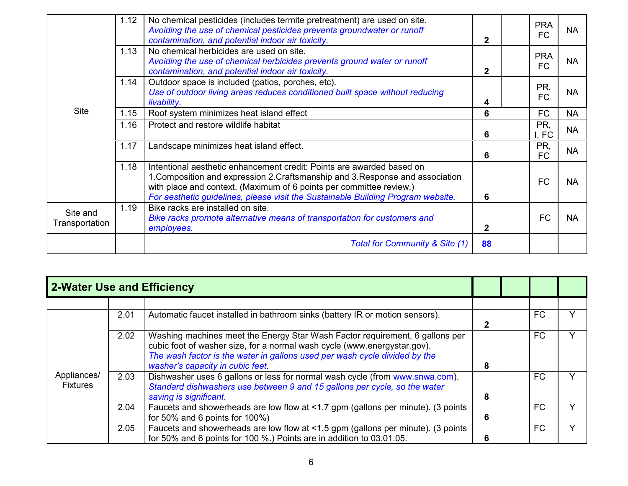|                            | 1.12 | No chemical pesticides (includes termite pretreatment) are used on site.<br>Avoiding the use of chemical pesticides prevents groundwater or runoff<br>contamination, and potential indoor air toxicity.                                                                                                            | $\mathbf{2}$   | <b>PRA</b><br><b>FC</b> | <b>NA</b> |
|----------------------------|------|--------------------------------------------------------------------------------------------------------------------------------------------------------------------------------------------------------------------------------------------------------------------------------------------------------------------|----------------|-------------------------|-----------|
|                            | 1.13 | No chemical herbicides are used on site.<br>Avoiding the use of chemical herbicides prevents ground water or runoff<br>contamination, and potential indoor air toxicity.                                                                                                                                           | $\overline{2}$ | <b>PRA</b><br>FC        | <b>NA</b> |
|                            | 1.14 | Outdoor space is included (patios, porches, etc).<br>Use of outdoor living areas reduces conditioned built space without reducing<br>livability.                                                                                                                                                                   | 4              | PR,<br><b>FC</b>        | <b>NA</b> |
| <b>Site</b>                | 1.15 | Roof system minimizes heat island effect                                                                                                                                                                                                                                                                           | 6              | <b>FC</b>               | <b>NA</b> |
|                            | 1.16 | Protect and restore wildlife habitat                                                                                                                                                                                                                                                                               | 6              | PR,<br>I, FC            | <b>NA</b> |
|                            | 1.17 | Landscape minimizes heat island effect.                                                                                                                                                                                                                                                                            | 6              | PR,<br><b>FC</b>        | <b>NA</b> |
|                            | 1.18 | Intentional aesthetic enhancement credit: Points are awarded based on<br>1. Composition and expression 2. Craftsmanship and 3. Response and association<br>with place and context. (Maximum of 6 points per committee review.)<br>For aesthetic guidelines, please visit the Sustainable Building Program website. | 6              | <b>FC</b>               | <b>NA</b> |
| Site and<br>Transportation | 1.19 | Bike racks are installed on site.<br>Bike racks promote alternative means of transportation for customers and<br>employees.                                                                                                                                                                                        | $\mathbf{2}$   | <b>FC</b>               | <b>NA</b> |
|                            |      | Total for Community & Site (1)                                                                                                                                                                                                                                                                                     | 88             |                         |           |

| 2-Water Use and Efficiency     |      |                                                                                                                                                                                                                                                                            |   |    |   |
|--------------------------------|------|----------------------------------------------------------------------------------------------------------------------------------------------------------------------------------------------------------------------------------------------------------------------------|---|----|---|
|                                |      |                                                                                                                                                                                                                                                                            |   |    |   |
|                                | 2.01 | Automatic faucet installed in bathroom sinks (battery IR or motion sensors).                                                                                                                                                                                               | 2 | FC |   |
|                                | 2.02 | Washing machines meet the Energy Star Wash Factor requirement, 6 gallons per<br>cubic foot of washer size, for a normal wash cycle (www.energystar.gov).<br>The wash factor is the water in gallons used per wash cycle divided by the<br>washer's capacity in cubic feet. | 8 | FC |   |
| Appliances/<br><b>Fixtures</b> | 2.03 | Dishwasher uses 6 gallons or less for normal wash cycle (from www.snwa.com).<br>Standard dishwashers use between 9 and 15 gallons per cycle, so the water<br>saving is significant.                                                                                        | 8 | FC |   |
|                                | 2.04 | Faucets and showerheads are low flow at <1.7 gpm (gallons per minute). (3 points<br>for 50% and 6 points for $100\%$ )                                                                                                                                                     | 6 | FC | ◡ |
|                                | 2.05 | Faucets and showerheads are low flow at <1.5 gpm (gallons per minute). (3 points<br>for 50% and 6 points for 100 %.) Points are in addition to 03.01.05.                                                                                                                   | 6 | FC |   |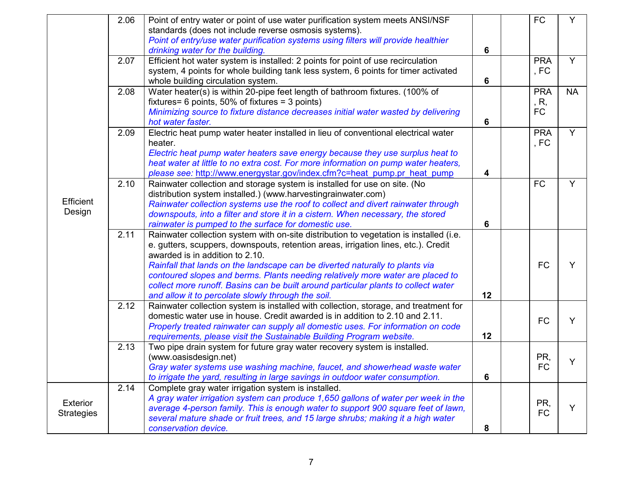|                   | 2.06 | Point of entry water or point of use water purification system meets ANSI/NSF          |    | <b>FC</b>  | Y              |
|-------------------|------|----------------------------------------------------------------------------------------|----|------------|----------------|
|                   |      | standards (does not include reverse osmosis systems).                                  |    |            |                |
|                   |      | Point of entry/use water purification systems using filters will provide healthier     |    |            |                |
|                   |      | drinking water for the building.                                                       | 6  |            |                |
|                   | 2.07 | Efficient hot water system is installed: 2 points for point of use recirculation       |    | <b>PRA</b> | Y              |
|                   |      | system, 4 points for whole building tank less system, 6 points for timer activated     |    | , FC       |                |
|                   |      | whole building circulation system.                                                     | 6  |            |                |
|                   | 2.08 | Water heater(s) is within 20-pipe feet length of bathroom fixtures. (100% of           |    | <b>PRA</b> | <b>NA</b>      |
|                   |      | fixtures= 6 points, 50% of fixtures = 3 points)                                        |    | , R,       |                |
|                   |      | Minimizing source to fixture distance decreases initial water wasted by delivering     |    | FC         |                |
|                   |      | hot water faster.                                                                      | 6  |            |                |
|                   | 2.09 | Electric heat pump water heater installed in lieu of conventional electrical water     |    | <b>PRA</b> | $\overline{Y}$ |
|                   |      | heater.                                                                                |    | , FC       |                |
|                   |      | Electric heat pump water heaters save energy because they use surplus heat to          |    |            |                |
|                   |      | heat water at little to no extra cost. For more information on pump water heaters,     |    |            |                |
|                   |      | please see: http://www.energystar.gov/index.cfm?c=heat pump.pr heat pump               | 4  |            |                |
|                   | 2.10 | Rainwater collection and storage system is installed for use on site. (No              |    | <b>FC</b>  | Y              |
|                   |      | distribution system installed.) (www.harvestingrainwater.com)                          |    |            |                |
| Efficient         |      | Rainwater collection systems use the roof to collect and divert rainwater through      |    |            |                |
| Design            |      | downspouts, into a filter and store it in a cistern. When necessary, the stored        |    |            |                |
|                   |      | rainwater is pumped to the surface for domestic use.                                   | 6  |            |                |
|                   | 2.11 | Rainwater collection system with on-site distribution to vegetation is installed (i.e. |    |            |                |
|                   |      | e. gutters, scuppers, downspouts, retention areas, irrigation lines, etc.). Credit     |    |            |                |
|                   |      | awarded is in addition to 2.10.                                                        |    |            |                |
|                   |      | Rainfall that lands on the landscape can be diverted naturally to plants via           |    | <b>FC</b>  | Y              |
|                   |      | contoured slopes and berms. Plants needing relatively more water are placed to         |    |            |                |
|                   |      | collect more runoff. Basins can be built around particular plants to collect water     |    |            |                |
|                   |      | and allow it to percolate slowly through the soil.                                     | 12 |            |                |
|                   | 2.12 | Rainwater collection system is installed with collection, storage, and treatment for   |    |            |                |
|                   |      | domestic water use in house. Credit awarded is in addition to 2.10 and 2.11.           |    | <b>FC</b>  | Y              |
|                   |      | Properly treated rainwater can supply all domestic uses. For information on code       |    |            |                |
|                   |      | requirements, please visit the Sustainable Building Program website.                   | 12 |            |                |
|                   | 2.13 | Two pipe drain system for future gray water recovery system is installed.              |    |            |                |
|                   |      | (www.oasisdesign.net)                                                                  |    | PR,        |                |
|                   |      | Gray water systems use washing machine, faucet, and showerhead waste water             |    | <b>FC</b>  |                |
|                   |      | to irrigate the yard, resulting in large savings in outdoor water consumption.         | 6  |            |                |
|                   | 2.14 | Complete gray water irrigation system is installed.                                    |    |            |                |
| Exterior          |      | A gray water irrigation system can produce 1,650 gallons of water per week in the      |    | PR,        |                |
| <b>Strategies</b> |      | average 4-person family. This is enough water to support 900 square feet of lawn,      |    | <b>FC</b>  | Y              |
|                   |      | several mature shade or fruit trees, and 15 large shrubs; making it a high water       |    |            |                |
|                   |      | conservation device.                                                                   | 8  |            |                |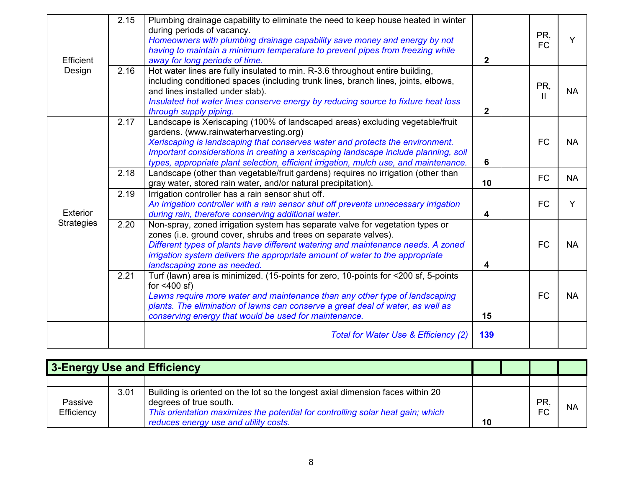| Efficient         | 2.15 | Plumbing drainage capability to eliminate the need to keep house heated in winter<br>during periods of vacancy.<br>Homeowners with plumbing drainage capability save money and energy by not<br>having to maintain a minimum temperature to prevent pipes from freezing while<br>away for long periods of time.                                                                          | $\overline{2}$ | PR,<br><b>FC</b>    | Y         |
|-------------------|------|------------------------------------------------------------------------------------------------------------------------------------------------------------------------------------------------------------------------------------------------------------------------------------------------------------------------------------------------------------------------------------------|----------------|---------------------|-----------|
| Design            | 2.16 | Hot water lines are fully insulated to min. R-3.6 throughout entire building,<br>including conditioned spaces (including trunk lines, branch lines, joints, elbows,<br>and lines installed under slab).<br>Insulated hot water lines conserve energy by reducing source to fixture heat loss<br>through supply piping.                                                                   | $\overline{2}$ | PR,<br>$\mathbf{H}$ | <b>NA</b> |
|                   | 2.17 | Landscape is Xeriscaping (100% of landscaped areas) excluding vegetable/fruit<br>gardens. (www.rainwaterharvesting.org)<br>Xeriscaping is landscaping that conserves water and protects the environment.<br>Important considerations in creating a xeriscaping landscape include planning, soil<br>types, appropriate plant selection, efficient irrigation, mulch use, and maintenance. | 6              | <b>FC</b>           | <b>NA</b> |
|                   | 2.18 | Landscape (other than vegetable/fruit gardens) requires no irrigation (other than<br>gray water, stored rain water, and/or natural precipitation).                                                                                                                                                                                                                                       | 10             | <b>FC</b>           | <b>NA</b> |
| Exterior          | 2.19 | Irrigation controller has a rain sensor shut off.<br>An irrigation controller with a rain sensor shut off prevents unnecessary irrigation<br>during rain, therefore conserving additional water.                                                                                                                                                                                         | 4              | <b>FC</b>           | Y         |
| <b>Strategies</b> | 2.20 | Non-spray, zoned irrigation system has separate valve for vegetation types or<br>zones (i.e. ground cover, shrubs and trees on separate valves).<br>Different types of plants have different watering and maintenance needs. A zoned<br>irrigation system delivers the appropriate amount of water to the appropriate<br>landscaping zone as needed.                                     | 4              | <b>FC</b>           | <b>NA</b> |
|                   | 2.21 | Turf (lawn) area is minimized. (15-points for zero, 10-points for <200 sf, 5-points<br>for $<400$ sf)<br>Lawns require more water and maintenance than any other type of landscaping<br>plants. The elimination of lawns can conserve a great deal of water, as well as<br>conserving energy that would be used for maintenance.                                                         | 15             | <b>FC</b>           | <b>NA</b> |
|                   |      | Total for Water Use & Efficiency (2)                                                                                                                                                                                                                                                                                                                                                     | 139            |                     |           |

|                       | 3-Energy Use and Efficiency |                                                                                                                                                                                                                                      |    |                        |           |
|-----------------------|-----------------------------|--------------------------------------------------------------------------------------------------------------------------------------------------------------------------------------------------------------------------------------|----|------------------------|-----------|
|                       |                             |                                                                                                                                                                                                                                      |    |                        |           |
| Passive<br>Efficiency | 3.01                        | Building is oriented on the lot so the longest axial dimension faces within 20<br>degrees of true south.<br>This orientation maximizes the potential for controlling solar heat gain; which<br>reduces energy use and utility costs. | 10 | <b>PR</b><br><b>FC</b> | <b>NA</b> |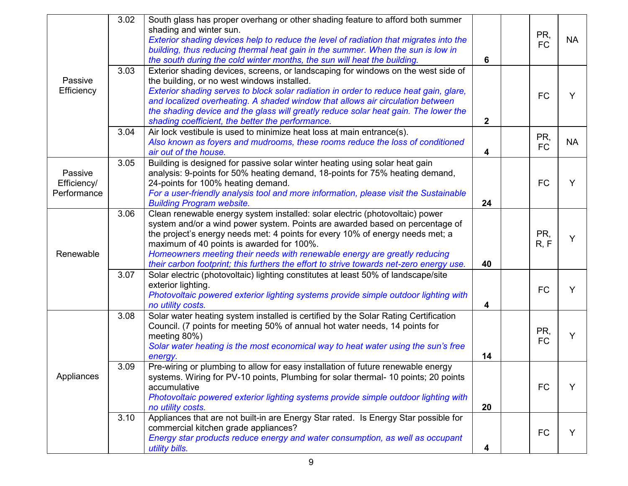|                                       | 3.02 | South glass has proper overhang or other shading feature to afford both summer<br>shading and winter sun.<br>Exterior shading devices help to reduce the level of radiation that migrates into the<br>building, thus reducing thermal heat gain in the summer. When the sun is low in<br>the south during the cold winter months, the sun will heat the building.                                                                                                  | 6                       | PR,<br><b>FC</b> | <b>NA</b> |
|---------------------------------------|------|--------------------------------------------------------------------------------------------------------------------------------------------------------------------------------------------------------------------------------------------------------------------------------------------------------------------------------------------------------------------------------------------------------------------------------------------------------------------|-------------------------|------------------|-----------|
| Passive<br>Efficiency                 | 3.03 | Exterior shading devices, screens, or landscaping for windows on the west side of<br>the building, or no west windows installed.<br>Exterior shading serves to block solar radiation in order to reduce heat gain, glare,<br>and localized overheating. A shaded window that allows air circulation between<br>the shading device and the glass will greatly reduce solar heat gain. The lower the<br>shading coefficient, the better the performance.             | $\overline{2}$          | <b>FC</b>        | Y         |
|                                       | 3.04 | Air lock vestibule is used to minimize heat loss at main entrance(s).<br>Also known as foyers and mudrooms, these rooms reduce the loss of conditioned<br>air out of the house.                                                                                                                                                                                                                                                                                    | $\overline{\mathbf{4}}$ | PR,<br><b>FC</b> | <b>NA</b> |
| Passive<br>Efficiency/<br>Performance | 3.05 | Building is designed for passive solar winter heating using solar heat gain<br>analysis: 9-points for 50% heating demand, 18-points for 75% heating demand,<br>24-points for 100% heating demand.<br>For a user-friendly analysis tool and more information, please visit the Sustainable<br><b>Building Program website.</b>                                                                                                                                      | 24                      | <b>FC</b>        | Y         |
| Renewable                             | 3.06 | Clean renewable energy system installed: solar electric (photovoltaic) power<br>system and/or a wind power system. Points are awarded based on percentage of<br>the project's energy needs met: 4 points for every 10% of energy needs met; a<br>maximum of 40 points is awarded for 100%.<br>Homeowners meeting their needs with renewable energy are greatly reducing<br>their carbon footprint; this furthers the effort to strive towards net-zero energy use. | 40                      | PR,<br>R, F      | Y         |
|                                       | 3.07 | Solar electric (photovoltaic) lighting constitutes at least 50% of landscape/site<br>exterior lighting.<br>Photovoltaic powered exterior lighting systems provide simple outdoor lighting with<br>no utility costs.                                                                                                                                                                                                                                                | 4                       | <b>FC</b>        | Y         |
|                                       | 3.08 | Solar water heating system installed is certified by the Solar Rating Certification<br>Council. (7 points for meeting 50% of annual hot water needs, 14 points for<br>meeting 80%)<br>Solar water heating is the most economical way to heat water using the sun's free<br>energy.                                                                                                                                                                                 | 14                      | PR,<br><b>FC</b> | Y         |
| Appliances                            | 3.09 | Pre-wiring or plumbing to allow for easy installation of future renewable energy<br>systems. Wiring for PV-10 points, Plumbing for solar thermal- 10 points; 20 points<br>accumulative<br>Photovoltaic powered exterior lighting systems provide simple outdoor lighting with<br>no utility costs.                                                                                                                                                                 | 20                      | <b>FC</b>        | Y         |
|                                       | 3.10 | Appliances that are not built-in are Energy Star rated. Is Energy Star possible for<br>commercial kitchen grade appliances?<br>Energy star products reduce energy and water consumption, as well as occupant<br>utility bills.                                                                                                                                                                                                                                     | 4                       | <b>FC</b>        | Y         |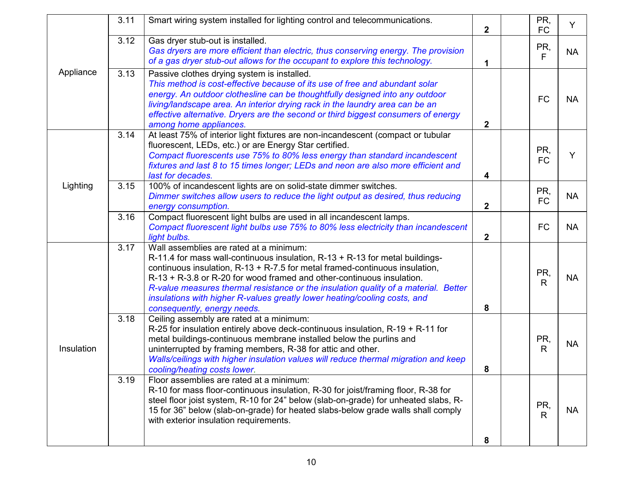|            | 3.11 | Smart wiring system installed for lighting control and telecommunications.                                                                                                                                                                                                                                                                                                                                                                                                             | $\overline{2}$ | PR,<br><b>FC</b>    | Y         |
|------------|------|----------------------------------------------------------------------------------------------------------------------------------------------------------------------------------------------------------------------------------------------------------------------------------------------------------------------------------------------------------------------------------------------------------------------------------------------------------------------------------------|----------------|---------------------|-----------|
| Appliance  | 3.12 | Gas dryer stub-out is installed.<br>Gas dryers are more efficient than electric, thus conserving energy. The provision<br>of a gas dryer stub-out allows for the occupant to explore this technology.                                                                                                                                                                                                                                                                                  | 1              | PR,<br>F            | <b>NA</b> |
|            | 3.13 | Passive clothes drying system is installed.<br>This method is cost-effective because of its use of free and abundant solar<br>energy. An outdoor clothesline can be thoughtfully designed into any outdoor<br>living/landscape area. An interior drying rack in the laundry area can be an<br>effective alternative. Dryers are the second or third biggest consumers of energy<br>among home appliances.                                                                              | $\mathbf{2}$   | <b>FC</b>           | <b>NA</b> |
|            | 3.14 | At least 75% of interior light fixtures are non-incandescent (compact or tubular<br>fluorescent, LEDs, etc.) or are Energy Star certified.<br>Compact fluorescents use 75% to 80% less energy than standard incandescent<br>fixtures and last 8 to 15 times longer; LEDs and neon are also more efficient and<br>last for decades.                                                                                                                                                     | 4              | PR,<br><b>FC</b>    | Y         |
| Lighting   | 3.15 | 100% of incandescent lights are on solid-state dimmer switches.<br>Dimmer switches allow users to reduce the light output as desired, thus reducing<br>energy consumption.                                                                                                                                                                                                                                                                                                             | $\overline{2}$ | PR,<br><b>FC</b>    | <b>NA</b> |
|            | 3.16 | Compact fluorescent light bulbs are used in all incandescent lamps.<br>Compact fluorescent light bulbs use 75% to 80% less electricity than incandescent<br>light bulbs.                                                                                                                                                                                                                                                                                                               | $2^{\circ}$    | <b>FC</b>           | <b>NA</b> |
| Insulation | 3.17 | Wall assemblies are rated at a minimum:<br>R-11.4 for mass wall-continuous insulation, R-13 + R-13 for metal buildings-<br>continuous insulation, $R-13 + R-7.5$ for metal framed-continuous insulation,<br>$R-13 + R-3.8$ or R-20 for wood framed and other-continuous insulation.<br>R-value measures thermal resistance or the insulation quality of a material. Better<br>insulations with higher R-values greatly lower heating/cooling costs, and<br>consequently, energy needs. | 8              | PR,<br>R            | <b>NA</b> |
|            | 3.18 | Ceiling assembly are rated at a minimum:<br>R-25 for insulation entirely above deck-continuous insulation, $R-19 + R-11$ for<br>metal buildings-continuous membrane installed below the purlins and<br>uninterrupted by framing members, R-38 for attic and other.<br>Walls/ceilings with higher insulation values will reduce thermal migration and keep<br>cooling/heating costs lower.                                                                                              | 8              | PR,<br>$\mathsf{R}$ | <b>NA</b> |
|            | 3.19 | Floor assemblies are rated at a minimum:<br>R-10 for mass floor-continuous insulation, R-30 for joist/framing floor, R-38 for<br>steel floor joist system, R-10 for 24" below (slab-on-grade) for unheated slabs, R-<br>15 for 36" below (slab-on-grade) for heated slabs-below grade walls shall comply<br>with exterior insulation requirements.                                                                                                                                     | 8              | PR,<br>$\mathsf{R}$ | <b>NA</b> |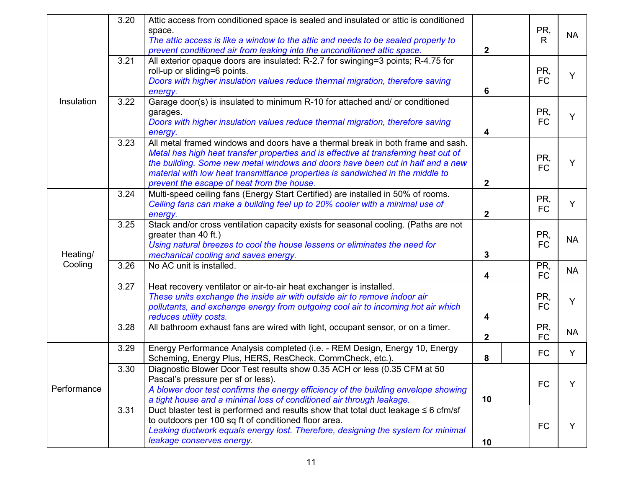|             | 3.20<br>Attic access from conditioned space is sealed and insulated or attic is conditioned<br>space.<br>The attic access is like a window to the attic and needs to be sealed properly to<br>prevent conditioned air from leaking into the unconditioned attic space. |                                                                                                                                                                                                                                                                                                                                                                                           |                         |  | PR,<br>R         | <b>NA</b> |
|-------------|------------------------------------------------------------------------------------------------------------------------------------------------------------------------------------------------------------------------------------------------------------------------|-------------------------------------------------------------------------------------------------------------------------------------------------------------------------------------------------------------------------------------------------------------------------------------------------------------------------------------------------------------------------------------------|-------------------------|--|------------------|-----------|
| Insulation  | 3.21                                                                                                                                                                                                                                                                   | All exterior opaque doors are insulated: R-2.7 for swinging=3 points; R-4.75 for<br>roll-up or sliding=6 points.<br>Doors with higher insulation values reduce thermal migration, therefore saving<br>energy.                                                                                                                                                                             | 6                       |  | PR,<br><b>FC</b> | Y         |
|             | 3.22                                                                                                                                                                                                                                                                   | Garage door(s) is insulated to minimum R-10 for attached and/ or conditioned<br>garages.<br>Doors with higher insulation values reduce thermal migration, therefore saving<br>energy.                                                                                                                                                                                                     | $\overline{\mathbf{4}}$ |  | PR,<br><b>FC</b> | Y         |
|             | 3.23                                                                                                                                                                                                                                                                   | All metal framed windows and doors have a thermal break in both frame and sash.<br>Metal has high heat transfer properties and is effective at transferring heat out of<br>the building. Some new metal windows and doors have been cut in half and a new<br>material with low heat transmittance properties is sandwiched in the middle to<br>prevent the escape of heat from the house. | $\mathbf{2}$            |  | PR,<br><b>FC</b> | Y         |
| Heating/    | 3.24                                                                                                                                                                                                                                                                   | Multi-speed ceiling fans (Energy Start Certified) are installed in 50% of rooms.<br>Ceiling fans can make a building feel up to 20% cooler with a minimal use of<br>energy.                                                                                                                                                                                                               | $\overline{2}$          |  | PR,<br><b>FC</b> | Y         |
|             | 3.25                                                                                                                                                                                                                                                                   | Stack and/or cross ventilation capacity exists for seasonal cooling. (Paths are not<br>greater than 40 ft.)<br>Using natural breezes to cool the house lessens or eliminates the need for<br>mechanical cooling and saves energy.                                                                                                                                                         | 3                       |  | PR,<br><b>FC</b> | <b>NA</b> |
| Cooling     | 3.26                                                                                                                                                                                                                                                                   | No AC unit is installed.                                                                                                                                                                                                                                                                                                                                                                  | 4                       |  | PR,<br><b>FC</b> | <b>NA</b> |
|             | 3.27                                                                                                                                                                                                                                                                   | Heat recovery ventilator or air-to-air heat exchanger is installed.<br>These units exchange the inside air with outside air to remove indoor air<br>pollutants, and exchange energy from outgoing cool air to incoming hot air which<br>reduces utility costs.                                                                                                                            | 4                       |  | PR,<br><b>FC</b> | Y         |
|             | 3.28                                                                                                                                                                                                                                                                   | All bathroom exhaust fans are wired with light, occupant sensor, or on a timer.                                                                                                                                                                                                                                                                                                           | $\mathbf{2}$            |  | PR,<br><b>FC</b> | <b>NA</b> |
|             | 3.29                                                                                                                                                                                                                                                                   | Energy Performance Analysis completed (i.e. - REM Design, Energy 10, Energy<br>Scheming, Energy Plus, HERS, ResCheck, CommCheck, etc.).                                                                                                                                                                                                                                                   | 8                       |  | <b>FC</b>        | Y         |
| Performance | 3.30                                                                                                                                                                                                                                                                   | Diagnostic Blower Door Test results show 0.35 ACH or less (0.35 CFM at 50<br>Pascal's pressure per sf or less).<br>A blower door test confirms the energy efficiency of the building envelope showing<br>a tight house and a minimal loss of conditioned air through leakage.                                                                                                             | 10                      |  | <b>FC</b>        | Y         |
|             | 3.31                                                                                                                                                                                                                                                                   | Duct blaster test is performed and results show that total duct leakage $\leq 6$ cfm/sf<br>to outdoors per 100 sq ft of conditioned floor area.<br>Leaking ductwork equals energy lost. Therefore, designing the system for minimal<br>leakage conserves energy.                                                                                                                          | 10                      |  | <b>FC</b>        | Y         |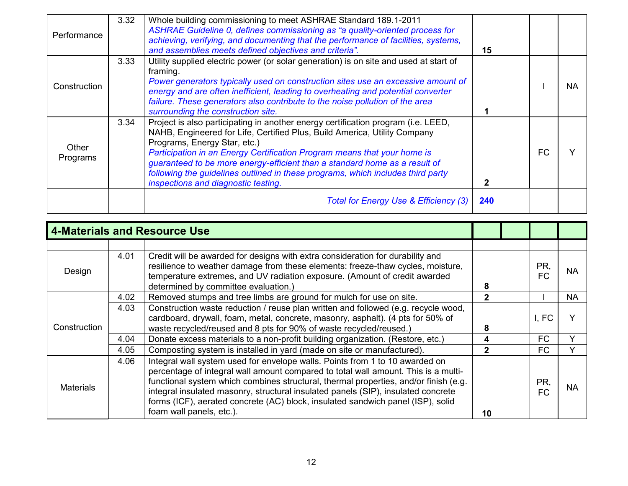| Performance       | 3.32 | Whole building commissioning to meet ASHRAE Standard 189.1-2011<br>ASHRAE Guideline 0, defines commissioning as "a quality-oriented process for<br>achieving, verifying, and documenting that the performance of facilities, systems,<br>and assemblies meets defined objectives and criteria".                                                                                                                                                                                    |     |  |    |           |
|-------------------|------|------------------------------------------------------------------------------------------------------------------------------------------------------------------------------------------------------------------------------------------------------------------------------------------------------------------------------------------------------------------------------------------------------------------------------------------------------------------------------------|-----|--|----|-----------|
| Construction      | 3.33 | Utility supplied electric power (or solar generation) is on site and used at start of<br>framing.<br>Power generators typically used on construction sites use an excessive amount of<br>energy and are often inefficient, leading to overheating and potential converter<br>failure. These generators also contribute to the noise pollution of the area<br>surrounding the construction site.                                                                                    |     |  |    | <b>NA</b> |
| Other<br>Programs | 3.34 | Project is also participating in another energy certification program (i.e. LEED,<br>NAHB, Engineered for Life, Certified Plus, Build America, Utility Company<br>Programs, Energy Star, etc.)<br>Participation in an Energy Certification Program means that your home is<br>guaranteed to be more energy-efficient than a standard home as a result of<br>following the guidelines outlined in these programs, which includes third party<br>inspections and diagnostic testing. | 2   |  | FC |           |
|                   |      | Total for Energy Use & Efficiency (3)                                                                                                                                                                                                                                                                                                                                                                                                                                              | 240 |  |    |           |

| <b>4-Materials and Resource Use</b> |                                                                                                                                                                                                                                                                                                 |                                                                                                                                                                                                                                                                                                                                                                                                                                                                |                |  |                  |           |
|-------------------------------------|-------------------------------------------------------------------------------------------------------------------------------------------------------------------------------------------------------------------------------------------------------------------------------------------------|----------------------------------------------------------------------------------------------------------------------------------------------------------------------------------------------------------------------------------------------------------------------------------------------------------------------------------------------------------------------------------------------------------------------------------------------------------------|----------------|--|------------------|-----------|
|                                     |                                                                                                                                                                                                                                                                                                 |                                                                                                                                                                                                                                                                                                                                                                                                                                                                |                |  |                  |           |
| Design                              | Credit will be awarded for designs with extra consideration for durability and<br>4.01<br>resilience to weather damage from these elements: freeze-thaw cycles, moisture,<br>temperature extremes, and UV radiation exposure. (Amount of credit awarded<br>determined by committee evaluation.) |                                                                                                                                                                                                                                                                                                                                                                                                                                                                |                |  | PR,<br><b>FC</b> | <b>NA</b> |
| Construction                        | 4.02                                                                                                                                                                                                                                                                                            | Removed stumps and tree limbs are ground for mulch for use on site.                                                                                                                                                                                                                                                                                                                                                                                            | 2              |  |                  | <b>NA</b> |
|                                     | 4.03                                                                                                                                                                                                                                                                                            | Construction waste reduction / reuse plan written and followed (e.g. recycle wood,<br>cardboard, drywall, foam, metal, concrete, masonry, asphalt). (4 pts for 50% of<br>waste recycled/reused and 8 pts for 90% of waste recycled/reused.)                                                                                                                                                                                                                    | 8              |  | I, FC            |           |
|                                     | 4.04                                                                                                                                                                                                                                                                                            | Donate excess materials to a non-profit building organization. (Restore, etc.)                                                                                                                                                                                                                                                                                                                                                                                 | 4              |  | <b>FC</b>        |           |
|                                     | 4.05                                                                                                                                                                                                                                                                                            | Composting system is installed in yard (made on site or manufactured).                                                                                                                                                                                                                                                                                                                                                                                         | $\overline{2}$ |  | <b>FC</b>        |           |
| 4.06<br><b>Materials</b>            |                                                                                                                                                                                                                                                                                                 | Integral wall system used for envelope walls. Points from 1 to 10 awarded on<br>percentage of integral wall amount compared to total wall amount. This is a multi-<br>functional system which combines structural, thermal properties, and/or finish (e.g.<br>integral insulated masonry, structural insulated panels (SIP), insulated concrete<br>forms (ICF), aerated concrete (AC) block, insulated sandwich panel (ISP), solid<br>foam wall panels, etc.). | 10             |  | PR,<br>FC.       | <b>NA</b> |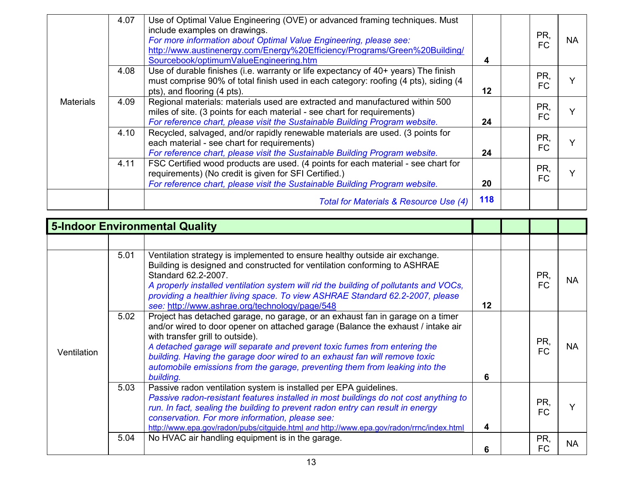| <b>Materials</b> | 4.07 | Use of Optimal Value Engineering (OVE) or advanced framing techniques. Must<br>include examples on drawings.<br>For more information about Optimal Value Engineering, please see:<br>http://www.austinenergy.com/Energy%20Efficiency/Programs/Green%20Building/<br>Sourcebook/optimumValueEngineering.htm | 4       | PR,<br><b>FC</b> | <b>NA</b> |
|------------------|------|-----------------------------------------------------------------------------------------------------------------------------------------------------------------------------------------------------------------------------------------------------------------------------------------------------------|---------|------------------|-----------|
|                  | 4.08 | Use of durable finishes (i.e. warranty or life expectancy of 40+ years) The finish<br>must comprise 90% of total finish used in each category: roofing (4 pts), siding (4<br>pts), and flooring (4 pts).                                                                                                  | $12 \,$ | PR,<br><b>FC</b> |           |
|                  | 4.09 | Regional materials: materials used are extracted and manufactured within 500<br>miles of site. (3 points for each material - see chart for requirements)<br>For reference chart, please visit the Sustainable Building Program website.                                                                   | 24      | PR,<br><b>FC</b> |           |
|                  | 4.10 | Recycled, salvaged, and/or rapidly renewable materials are used. (3 points for<br>each material - see chart for requirements)<br>For reference chart, please visit the Sustainable Building Program website.                                                                                              | 24      | PR,<br>FC        |           |
|                  | 4.11 | FSC Certified wood products are used. (4 points for each material - see chart for<br>requirements) (No credit is given for SFI Certified.)<br>For reference chart, please visit the Sustainable Building Program website.                                                                                 | 20      | PR,<br>FC        |           |
|                  |      | Total for Materials & Resource Use (4)                                                                                                                                                                                                                                                                    | 118     |                  |           |

| <b>5-Indoor Environmental Quality</b> |      |                                                                                                                                                                                                                                                                                                                                                                                                                                                               |    |  |                  |           |
|---------------------------------------|------|---------------------------------------------------------------------------------------------------------------------------------------------------------------------------------------------------------------------------------------------------------------------------------------------------------------------------------------------------------------------------------------------------------------------------------------------------------------|----|--|------------------|-----------|
|                                       |      |                                                                                                                                                                                                                                                                                                                                                                                                                                                               |    |  |                  |           |
| Ventilation                           | 5.01 | Ventilation strategy is implemented to ensure healthy outside air exchange.<br>Building is designed and constructed for ventilation conforming to ASHRAE<br>Standard 62.2-2007.<br>A properly installed ventilation system will rid the building of pollutants and VOCs,<br>providing a healthier living space. To view ASHRAE Standard 62.2-2007, please<br>see: http://www.ashrae.org/technology/page/548                                                   | 12 |  | PR,<br><b>FC</b> | <b>NA</b> |
|                                       | 5.02 | Project has detached garage, no garage, or an exhaust fan in garage on a timer<br>and/or wired to door opener on attached garage (Balance the exhaust / intake air<br>with transfer grill to outside).<br>A detached garage will separate and prevent toxic fumes from entering the<br>building. Having the garage door wired to an exhaust fan will remove toxic<br>automobile emissions from the garage, preventing them from leaking into the<br>building. | 6  |  | PR,<br><b>FC</b> | <b>NA</b> |
|                                       | 5.03 | Passive radon ventilation system is installed per EPA guidelines.<br>Passive radon-resistant features installed in most buildings do not cost anything to<br>run. In fact, sealing the building to prevent radon entry can result in energy<br>conservation. For more information, please see:<br>http://www.epa.gov/radon/pubs/citguide.html and http://www.epa.gov/radon/rrnc/index.html                                                                    | 4  |  | PR,<br><b>FC</b> | $\vee$    |
|                                       | 5.04 | No HVAC air handling equipment is in the garage.                                                                                                                                                                                                                                                                                                                                                                                                              | 6  |  | PR,<br><b>FC</b> | <b>NA</b> |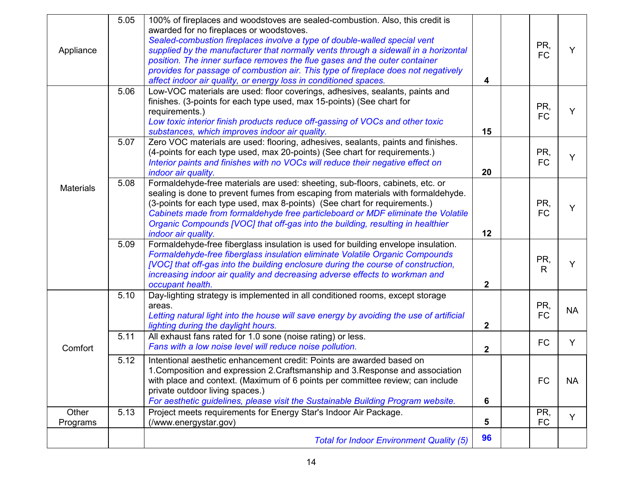| Appliance         | 5.05 | 100% of fireplaces and woodstoves are sealed-combustion. Also, this credit is<br>awarded for no fireplaces or woodstoves.<br>Sealed-combustion fireplaces involve a type of double-walled special vent<br>supplied by the manufacturer that normally vents through a sidewall in a horizontal<br>position. The inner surface removes the flue gases and the outer container<br>provides for passage of combustion air. This type of fireplace does not negatively<br>affect indoor air quality, or energy loss in conditioned spaces. | 4              | PR,<br><b>FC</b> | Y         |
|-------------------|------|---------------------------------------------------------------------------------------------------------------------------------------------------------------------------------------------------------------------------------------------------------------------------------------------------------------------------------------------------------------------------------------------------------------------------------------------------------------------------------------------------------------------------------------|----------------|------------------|-----------|
|                   | 5.06 | Low-VOC materials are used: floor coverings, adhesives, sealants, paints and<br>finishes. (3-points for each type used, max 15-points) (See chart for<br>requirements.)<br>Low toxic interior finish products reduce off-gassing of VOCs and other toxic<br>substances, which improves indoor air quality.                                                                                                                                                                                                                            | 15             | PR,<br><b>FC</b> | Y         |
|                   | 5.07 | Zero VOC materials are used: flooring, adhesives, sealants, paints and finishes.<br>(4-points for each type used, max 20-points) (See chart for requirements.)<br>Interior paints and finishes with no VOCs will reduce their negative effect on<br>indoor air quality.                                                                                                                                                                                                                                                               | 20             | PR,<br><b>FC</b> | Y         |
| <b>Materials</b>  | 5.08 | Formaldehyde-free materials are used: sheeting, sub-floors, cabinets, etc. or<br>sealing is done to prevent fumes from escaping from materials with formaldehyde.<br>(3-points for each type used, max 8-points) (See chart for requirements.)<br>Cabinets made from formaldehyde free particleboard or MDF eliminate the Volatile<br>Organic Compounds [VOC] that off-gas into the building, resulting in healthier<br>indoor air quality.                                                                                           | 12             | PR,<br><b>FC</b> | Y         |
|                   | 5.09 | Formaldehyde-free fiberglass insulation is used for building envelope insulation.<br>Formaldehyde-free fiberglass insulation eliminate Volatile Organic Compounds<br>[VOC] that off-gas into the building enclosure during the course of construction,<br>increasing indoor air quality and decreasing adverse effects to workman and<br>occupant health.                                                                                                                                                                             | $\overline{2}$ | PR,<br>R         | Y         |
|                   | 5.10 | Day-lighting strategy is implemented in all conditioned rooms, except storage<br>areas.<br>Letting natural light into the house will save energy by avoiding the use of artificial<br>lighting during the daylight hours.                                                                                                                                                                                                                                                                                                             | $\overline{2}$ | PR,<br><b>FC</b> | <b>NA</b> |
| Comfort           | 5.11 | All exhaust fans rated for 1.0 sone (noise rating) or less.<br>Fans with a low noise level will reduce noise pollution.                                                                                                                                                                                                                                                                                                                                                                                                               | $\overline{2}$ | <b>FC</b>        | Y         |
|                   | 5.12 | Intentional aesthetic enhancement credit: Points are awarded based on<br>1. Composition and expression 2. Craftsmanship and 3. Response and association<br>with place and context. (Maximum of 6 points per committee review; can include<br>private outdoor living spaces.)<br>For aesthetic guidelines, please visit the Sustainable Building Program website.                                                                                                                                                                      | 6              | <b>FC</b>        | <b>NA</b> |
| Other<br>Programs | 5.13 | Project meets requirements for Energy Star's Indoor Air Package.<br>(/www.energystar.gov)                                                                                                                                                                                                                                                                                                                                                                                                                                             | 5              | PR,<br><b>FC</b> | Y         |
|                   |      | <b>Total for Indoor Environment Quality (5)</b>                                                                                                                                                                                                                                                                                                                                                                                                                                                                                       | 96             |                  |           |